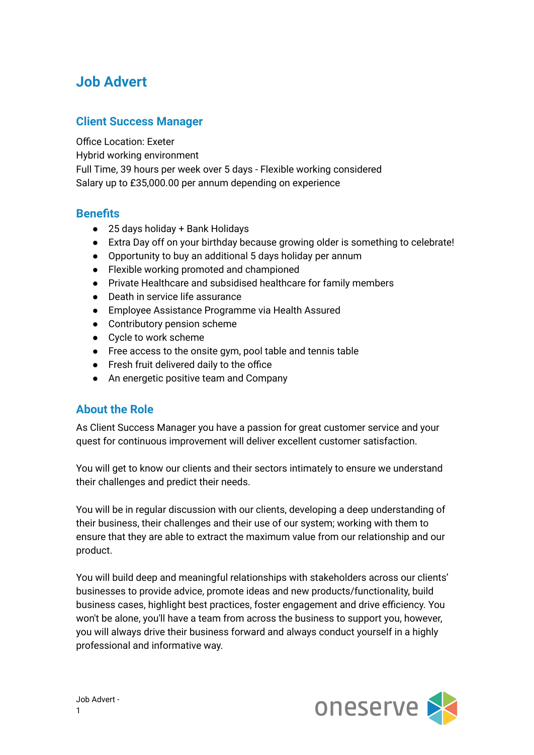# **Job Advert**

#### **Client Success Manager**

Office Location: Exeter

Hybrid working environment

Full Time, 39 hours per week over 5 days - Flexible working considered Salary up to £35,000.00 per annum depending on experience

### **Benefits**

- 25 days holiday + Bank Holidays
- Extra Day off on your birthday because growing older is something to celebrate!
- Opportunity to buy an additional 5 days holiday per annum
- Flexible working promoted and championed
- Private Healthcare and subsidised healthcare for family members
- Death in service life assurance
- Employee Assistance Programme via Health Assured
- Contributory pension scheme
- Cycle to work scheme
- Free access to the onsite gym, pool table and tennis table
- Fresh fruit delivered daily to the office
- An energetic positive team and Company

# **About the Role**

As Client Success Manager you have a passion for great customer service and your quest for continuous improvement will deliver excellent customer satisfaction.

You will get to know our clients and their sectors intimately to ensure we understand their challenges and predict their needs.

You will be in regular discussion with our clients, developing a deep understanding of their business, their challenges and their use of our system; working with them to ensure that they are able to extract the maximum value from our relationship and our product.

You will build deep and meaningful relationships with stakeholders across our clients' businesses to provide advice, promote ideas and new products/functionality, build business cases, highlight best practices, foster engagement and drive efficiency. You won't be alone, you'll have a team from across the business to support you, however, you will always drive their business forward and always conduct yourself in a highly professional and informative way.